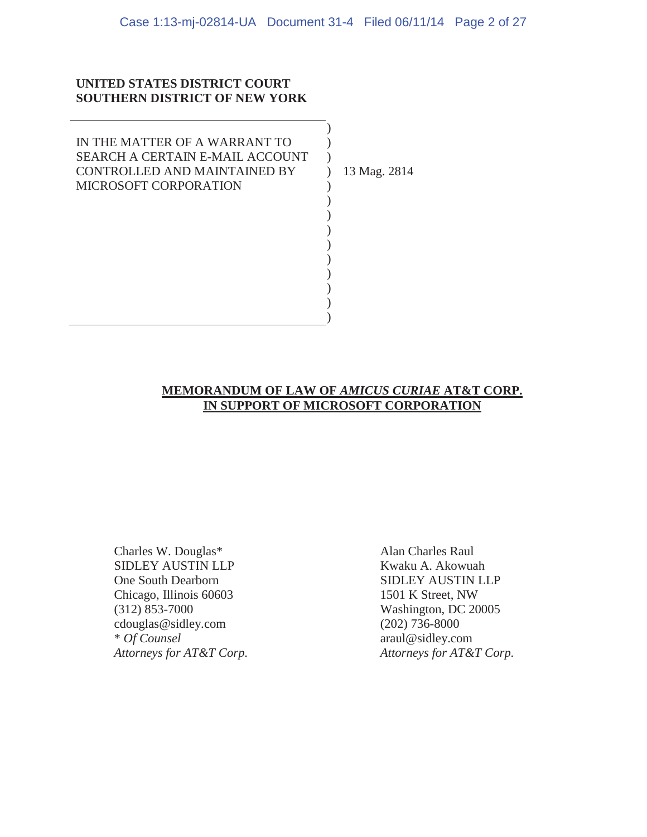)  $\mathcal{L}$  $\lambda$  $\mathcal{L}$ ) ) ) ) ) ) ) ) ) )

### **UNITED STATES DISTRICT COURT SOUTHERN DISTRICT OF NEW YORK**

IN THE MATTER OF A WARRANT TO SEARCH A CERTAIN E-MAIL ACCOUNT CONTROLLED AND MAINTAINED BY MICROSOFT CORPORATION

13 Mag. 2814

### **MEMORANDUM OF LAW OF** *AMICUS CURIAE* **AT&T CORP. IN SUPPORT OF MICROSOFT CORPORATION**

Charles W. Douglas\* Alan Charles Raul SIDLEY AUSTIN LLP Kwaku A. Akowuah One South Dearborn SIDLEY AUSTIN LLP Chicago, Illinois 60603 1501 K Street, NW (312) 853-7000 Washington, DC 20005 cdouglas@sidley.com (202) 736-8000 \* *Of Counsel* araul@sidley.com

*Attorneys for AT&T Corp. Attorneys for AT&T Corp.*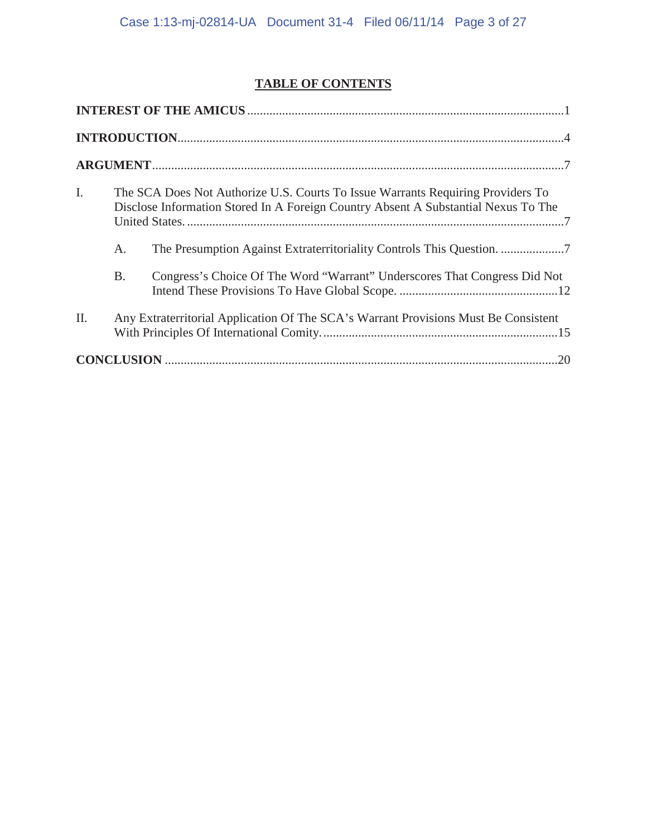## **TABLE OF CONTENTS**

| $\mathbf{I}$ . |                                                                                     | The SCA Does Not Authorize U.S. Courts To Issue Warrants Requiring Providers To<br>Disclose Information Stored In A Foreign Country Absent A Substantial Nexus To The |  |  |
|----------------|-------------------------------------------------------------------------------------|-----------------------------------------------------------------------------------------------------------------------------------------------------------------------|--|--|
|                | A.                                                                                  |                                                                                                                                                                       |  |  |
|                | <b>B.</b>                                                                           | Congress's Choice Of The Word "Warrant" Underscores That Congress Did Not                                                                                             |  |  |
| II.            | Any Extraterritorial Application Of The SCA's Warrant Provisions Must Be Consistent |                                                                                                                                                                       |  |  |
|                |                                                                                     |                                                                                                                                                                       |  |  |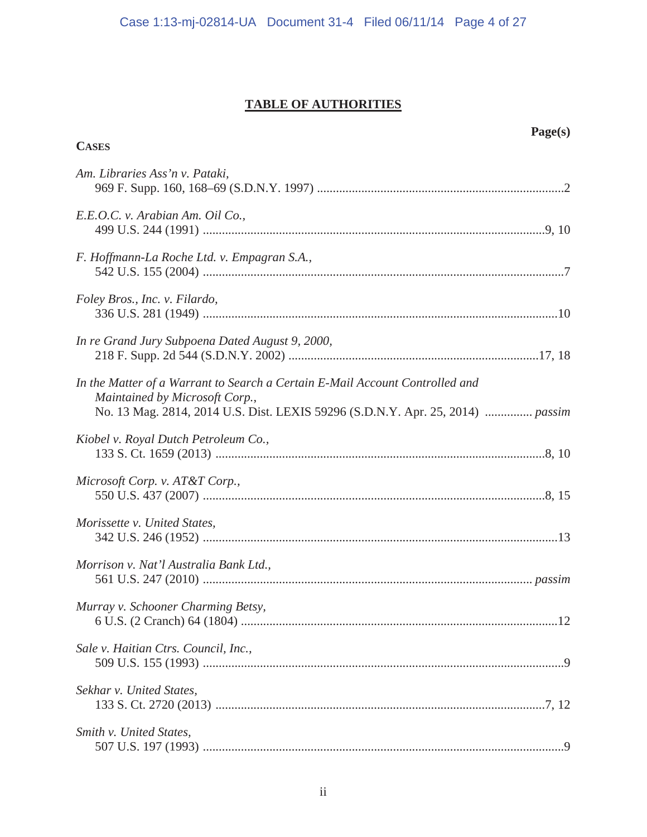## **TABLE OF AUTHORITIES**

**CASES**

## **Page(s)**

| Am. Libraries Ass'n v. Pataki,                                                                                                                                                                   |
|--------------------------------------------------------------------------------------------------------------------------------------------------------------------------------------------------|
| E.E.O.C. v. Arabian Am. Oil Co.,                                                                                                                                                                 |
| F. Hoffmann-La Roche Ltd. v. Empagran S.A.,                                                                                                                                                      |
| Foley Bros., Inc. v. Filardo,                                                                                                                                                                    |
| In re Grand Jury Subpoena Dated August 9, 2000,                                                                                                                                                  |
| In the Matter of a Warrant to Search a Certain E-Mail Account Controlled and<br>Maintained by Microsoft Corp.,<br>No. 13 Mag. 2814, 2014 U.S. Dist. LEXIS 59296 (S.D.N.Y. Apr. 25, 2014)  passim |
| Kiobel v. Royal Dutch Petroleum Co.,                                                                                                                                                             |
| Microsoft Corp. v. AT&T Corp.,                                                                                                                                                                   |
| Morissette v. United States,                                                                                                                                                                     |
| Morrison v. Nat'l Australia Bank Ltd.,                                                                                                                                                           |
| Murray v. Schooner Charming Betsy,                                                                                                                                                               |
| Sale v. Haitian Ctrs. Council, Inc.,                                                                                                                                                             |
| Sekhar v. United States,                                                                                                                                                                         |
| Smith v. United States,                                                                                                                                                                          |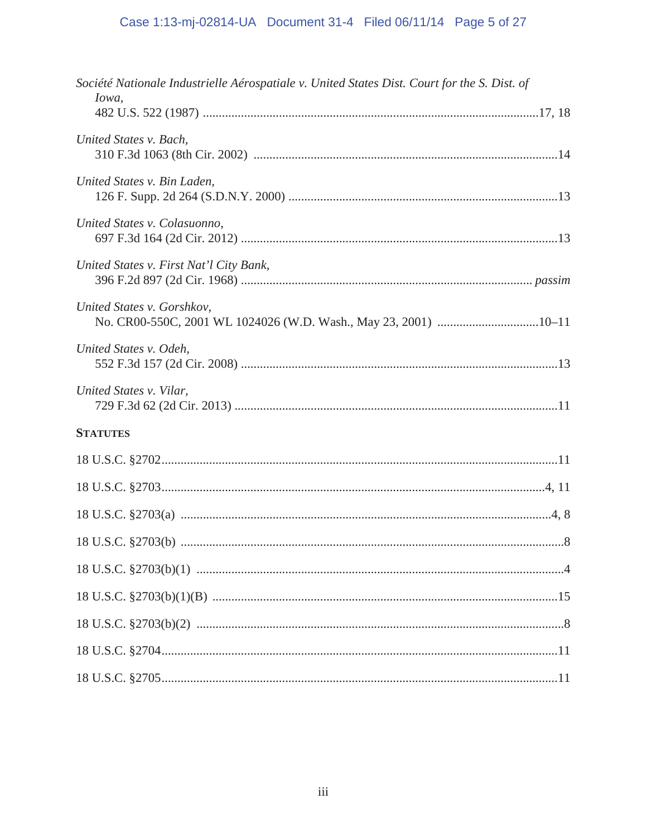# Case 1:13-mj-02814-UA Document 31-4 Filed 06/11/14 Page 5 of 27

| Société Nationale Industrielle Aérospatiale v. United States Dist. Court for the S. Dist. of |  |
|----------------------------------------------------------------------------------------------|--|
| Iowa,                                                                                        |  |
| United States v. Bach,                                                                       |  |
| United States v. Bin Laden,                                                                  |  |
| United States v. Colasuonno,                                                                 |  |
| United States v. First Nat'l City Bank,                                                      |  |
| United States v. Gorshkov,                                                                   |  |
| United States v. Odeh,                                                                       |  |
| United States v. Vilar,                                                                      |  |
| <b>STATUTES</b>                                                                              |  |
|                                                                                              |  |
|                                                                                              |  |
|                                                                                              |  |
|                                                                                              |  |
|                                                                                              |  |
|                                                                                              |  |
|                                                                                              |  |
|                                                                                              |  |
|                                                                                              |  |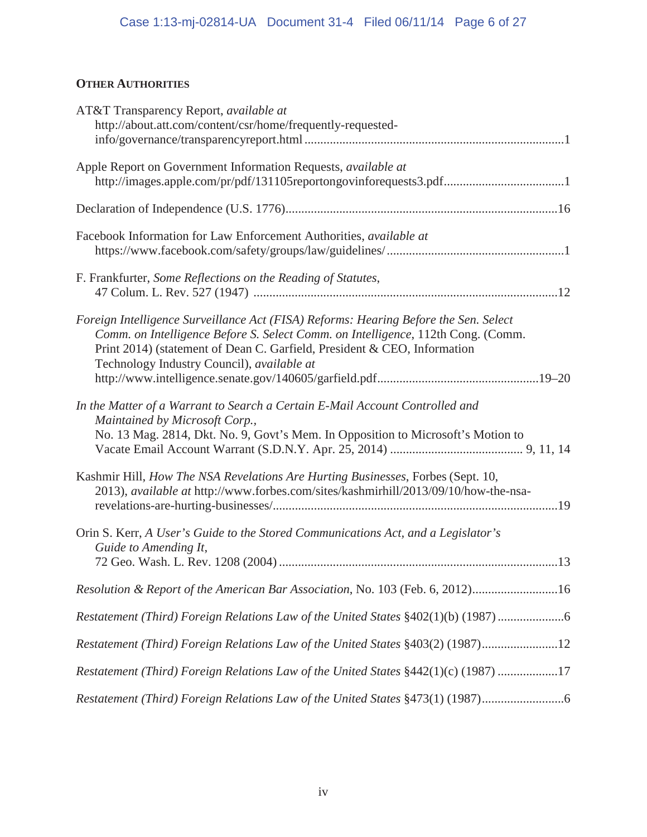## **OTHER AUTHORITIES**

| AT&T Transparency Report, available at<br>http://about.att.com/content/csr/home/frequently-requested-                                                                                                                                                                                              |
|----------------------------------------------------------------------------------------------------------------------------------------------------------------------------------------------------------------------------------------------------------------------------------------------------|
| Apple Report on Government Information Requests, available at<br>http://images.apple.com/pr/pdf/131105reportongovinforequests3.pdf1                                                                                                                                                                |
|                                                                                                                                                                                                                                                                                                    |
| Facebook Information for Law Enforcement Authorities, available at                                                                                                                                                                                                                                 |
| F. Frankfurter, Some Reflections on the Reading of Statutes,                                                                                                                                                                                                                                       |
| Foreign Intelligence Surveillance Act (FISA) Reforms: Hearing Before the Sen. Select<br>Comm. on Intelligence Before S. Select Comm. on Intelligence, 112th Cong. (Comm.<br>Print 2014) (statement of Dean C. Garfield, President & CEO, Information<br>Technology Industry Council), available at |
| In the Matter of a Warrant to Search a Certain E-Mail Account Controlled and<br>Maintained by Microsoft Corp.,<br>No. 13 Mag. 2814, Dkt. No. 9, Govt's Mem. In Opposition to Microsoft's Motion to                                                                                                 |
| Kashmir Hill, How The NSA Revelations Are Hurting Businesses, Forbes (Sept. 10,<br>2013), available at http://www.forbes.com/sites/kashmirhill/2013/09/10/how-the-nsa-                                                                                                                             |
| Orin S. Kerr, A User's Guide to the Stored Communications Act, and a Legislator's<br>Guide to Amending It,                                                                                                                                                                                         |
| Resolution & Report of the American Bar Association, No. 103 (Feb. 6, 2012)16                                                                                                                                                                                                                      |
| Restatement (Third) Foreign Relations Law of the United States §402(1)(b) (1987)                                                                                                                                                                                                                   |
| Restatement (Third) Foreign Relations Law of the United States §403(2) (1987)12                                                                                                                                                                                                                    |
| Restatement (Third) Foreign Relations Law of the United States §442(1)(c) (1987) 17                                                                                                                                                                                                                |
| Restatement (Third) Foreign Relations Law of the United States §473(1) (1987)                                                                                                                                                                                                                      |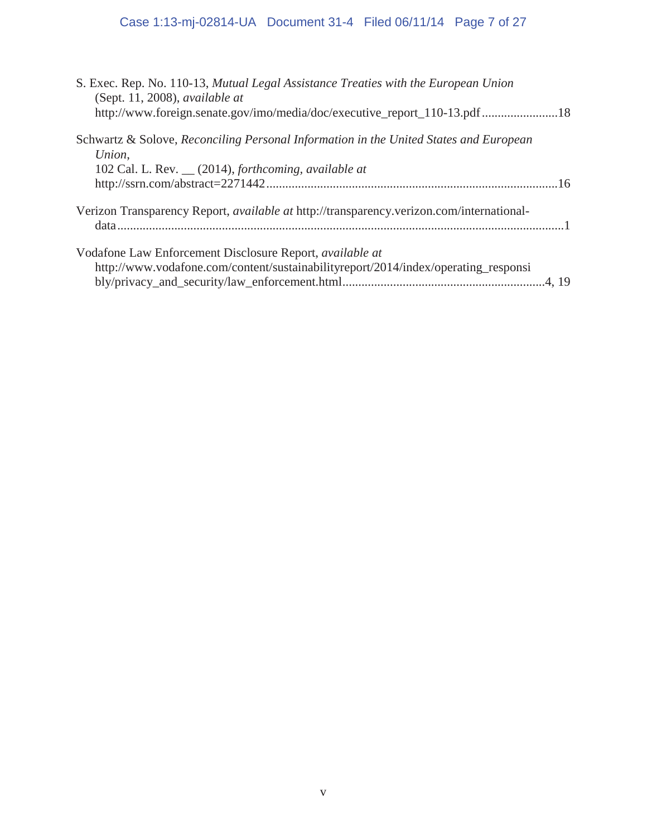# Case 1:13-mj-02814-UA Document 31-4 Filed 06/11/14 Page 7 of 27

| S. Exec. Rep. No. 110-13, Mutual Legal Assistance Treaties with the European Union<br>(Sept. 11, 2008), available at<br>http://www.foreign.senate.gov/imo/media/doc/executive_report_110-13.pdf 18 |
|----------------------------------------------------------------------------------------------------------------------------------------------------------------------------------------------------|
| Schwartz & Solove, Reconciling Personal Information in the United States and European<br>Union,<br>102 Cal. L. Rev. __ (2014), forthcoming, available at                                           |
|                                                                                                                                                                                                    |
| Verizon Transparency Report, available at http://transparency.verizon.com/international-                                                                                                           |
| Vodafone Law Enforcement Disclosure Report, <i>available at</i><br>http://www.vodafone.com/content/sustainabilityreport/2014/index/operating_responsi                                              |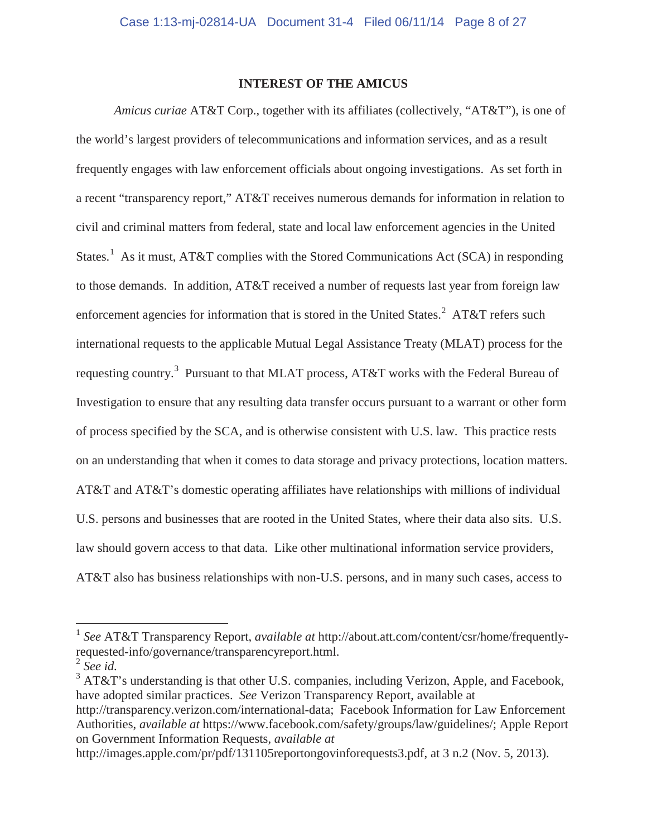### **INTEREST OF THE AMICUS**

*Amicus curiae* AT&T Corp., together with its affiliates (collectively, "AT&T"), is one of the world's largest providers of telecommunications and information services, and as a result frequently engages with law enforcement officials about ongoing investigations. As set forth in a recent "transparency report," AT&T receives numerous demands for information in relation to civil and criminal matters from federal, state and local law enforcement agencies in the United States.<sup>1</sup> As it must, AT&T complies with the Stored Communications Act (SCA) in responding to those demands. In addition, AT&T received a number of requests last year from foreign law enforcement agencies for information that is stored in the United States.<sup>2</sup> AT&T refers such international requests to the applicable Mutual Legal Assistance Treaty (MLAT) process for the requesting country.<sup>3</sup> Pursuant to that MLAT process, AT&T works with the Federal Bureau of Investigation to ensure that any resulting data transfer occurs pursuant to a warrant or other form of process specified by the SCA, and is otherwise consistent with U.S. law. This practice rests on an understanding that when it comes to data storage and privacy protections, location matters. AT&T and AT&T's domestic operating affiliates have relationships with millions of individual U.S. persons and businesses that are rooted in the United States, where their data also sits. U.S. law should govern access to that data. Like other multinational information service providers, AT&T also has business relationships with non-U.S. persons, and in many such cases, access to

 $\overline{a}$ 

<sup>1</sup> *See* AT&T Transparency Report, *available at* http://about.att.com/content/csr/home/frequentlyrequested-info/governance/transparencyreport.html.

<sup>2</sup> *See id.*

 $3$  AT&T's understanding is that other U.S. companies, including Verizon, Apple, and Facebook, have adopted similar practices. *See* Verizon Transparency Report, available at

http://transparency.verizon.com/international-data; Facebook Information for Law Enforcement Authorities, *available at* https://www.facebook.com/safety/groups/law/guidelines/; Apple Report on Government Information Requests, *available at* 

http://images.apple.com/pr/pdf/131105reportongovinforequests3.pdf, at 3 n.2 (Nov. 5, 2013).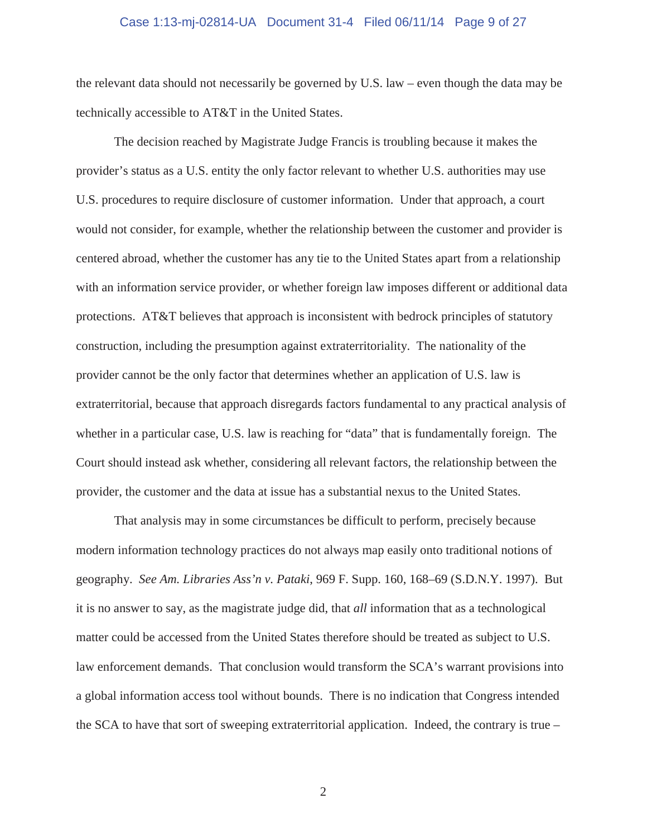#### Case 1:13-mj-02814-UA Document 31-4 Filed 06/11/14 Page 9 of 27

the relevant data should not necessarily be governed by U.S. law – even though the data may be technically accessible to AT&T in the United States.

The decision reached by Magistrate Judge Francis is troubling because it makes the provider's status as a U.S. entity the only factor relevant to whether U.S. authorities may use U.S. procedures to require disclosure of customer information. Under that approach, a court would not consider, for example, whether the relationship between the customer and provider is centered abroad, whether the customer has any tie to the United States apart from a relationship with an information service provider, or whether foreign law imposes different or additional data protections. AT&T believes that approach is inconsistent with bedrock principles of statutory construction, including the presumption against extraterritoriality. The nationality of the provider cannot be the only factor that determines whether an application of U.S. law is extraterritorial, because that approach disregards factors fundamental to any practical analysis of whether in a particular case, U.S. law is reaching for "data" that is fundamentally foreign. The Court should instead ask whether, considering all relevant factors, the relationship between the provider, the customer and the data at issue has a substantial nexus to the United States.

That analysis may in some circumstances be difficult to perform, precisely because modern information technology practices do not always map easily onto traditional notions of geography. *See Am. Libraries Ass'n v. Pataki*, 969 F. Supp. 160, 168–69 (S.D.N.Y. 1997). But it is no answer to say, as the magistrate judge did, that *all* information that as a technological matter could be accessed from the United States therefore should be treated as subject to U.S. law enforcement demands. That conclusion would transform the SCA's warrant provisions into a global information access tool without bounds. There is no indication that Congress intended the SCA to have that sort of sweeping extraterritorial application. Indeed, the contrary is true –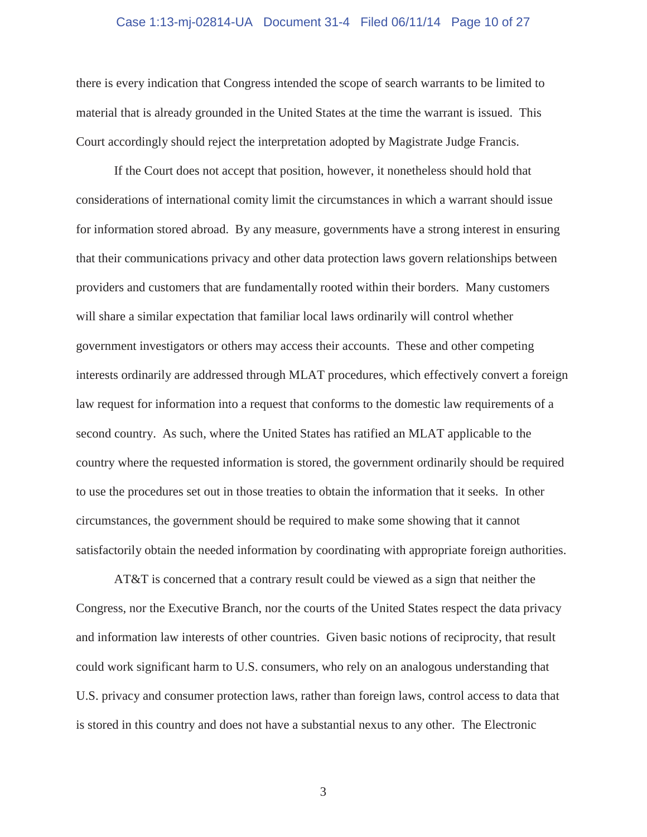#### Case 1:13-mj-02814-UA Document 31-4 Filed 06/11/14 Page 10 of 27

there is every indication that Congress intended the scope of search warrants to be limited to material that is already grounded in the United States at the time the warrant is issued. This Court accordingly should reject the interpretation adopted by Magistrate Judge Francis.

If the Court does not accept that position, however, it nonetheless should hold that considerations of international comity limit the circumstances in which a warrant should issue for information stored abroad. By any measure, governments have a strong interest in ensuring that their communications privacy and other data protection laws govern relationships between providers and customers that are fundamentally rooted within their borders. Many customers will share a similar expectation that familiar local laws ordinarily will control whether government investigators or others may access their accounts. These and other competing interests ordinarily are addressed through MLAT procedures, which effectively convert a foreign law request for information into a request that conforms to the domestic law requirements of a second country. As such, where the United States has ratified an MLAT applicable to the country where the requested information is stored, the government ordinarily should be required to use the procedures set out in those treaties to obtain the information that it seeks. In other circumstances, the government should be required to make some showing that it cannot satisfactorily obtain the needed information by coordinating with appropriate foreign authorities.

AT&T is concerned that a contrary result could be viewed as a sign that neither the Congress, nor the Executive Branch, nor the courts of the United States respect the data privacy and information law interests of other countries. Given basic notions of reciprocity, that result could work significant harm to U.S. consumers, who rely on an analogous understanding that U.S. privacy and consumer protection laws, rather than foreign laws, control access to data that is stored in this country and does not have a substantial nexus to any other. The Electronic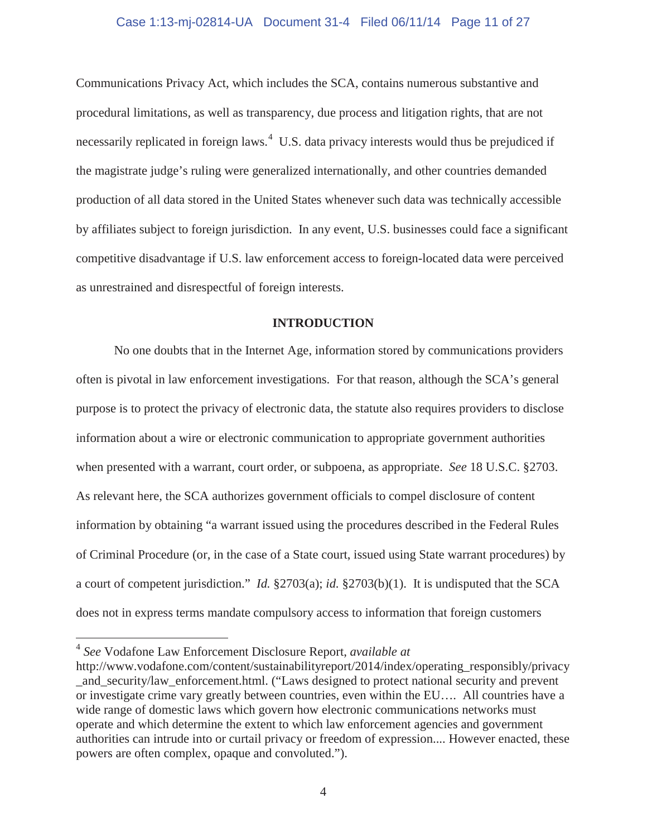#### Case 1:13-mj-02814-UA Document 31-4 Filed 06/11/14 Page 11 of 27

Communications Privacy Act, which includes the SCA, contains numerous substantive and procedural limitations, as well as transparency, due process and litigation rights, that are not necessarily replicated in foreign laws.<sup>4</sup> U.S. data privacy interests would thus be prejudiced if the magistrate judge's ruling were generalized internationally, and other countries demanded production of all data stored in the United States whenever such data was technically accessible by affiliates subject to foreign jurisdiction. In any event, U.S. businesses could face a significant competitive disadvantage if U.S. law enforcement access to foreign-located data were perceived as unrestrained and disrespectful of foreign interests.

#### **INTRODUCTION**

No one doubts that in the Internet Age, information stored by communications providers often is pivotal in law enforcement investigations. For that reason, although the SCA's general purpose is to protect the privacy of electronic data, the statute also requires providers to disclose information about a wire or electronic communication to appropriate government authorities when presented with a warrant, court order, or subpoena, as appropriate. *See* 18 U.S.C. §2703. As relevant here, the SCA authorizes government officials to compel disclosure of content information by obtaining "a warrant issued using the procedures described in the Federal Rules of Criminal Procedure (or, in the case of a State court, issued using State warrant procedures) by a court of competent jurisdiction." *Id.* §2703(a); *id.* §2703(b)(1). It is undisputed that the SCA does not in express terms mandate compulsory access to information that foreign customers

 $\overline{a}$ 

<sup>4</sup> *See* Vodafone Law Enforcement Disclosure Report, *available at* 

http://www.vodafone.com/content/sustainabilityreport/2014/index/operating\_responsibly/privacy and security/law enforcement.html. ("Laws designed to protect national security and prevent or investigate crime vary greatly between countries, even within the EU…. All countries have a wide range of domestic laws which govern how electronic communications networks must operate and which determine the extent to which law enforcement agencies and government authorities can intrude into or curtail privacy or freedom of expression.... However enacted, these powers are often complex, opaque and convoluted.").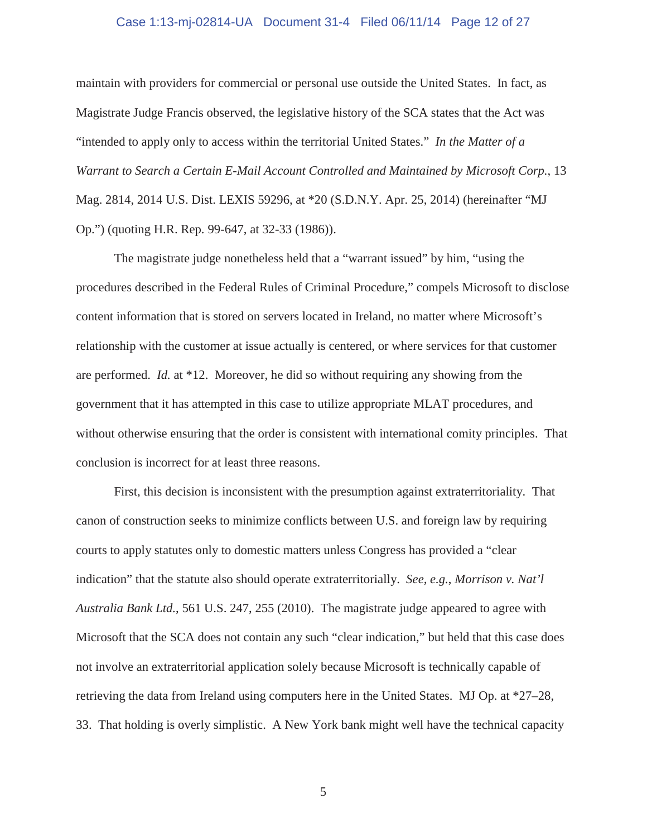#### Case 1:13-mj-02814-UA Document 31-4 Filed 06/11/14 Page 12 of 27

maintain with providers for commercial or personal use outside the United States. In fact, as Magistrate Judge Francis observed, the legislative history of the SCA states that the Act was "intended to apply only to access within the territorial United States." *In the Matter of a Warrant to Search a Certain E-Mail Account Controlled and Maintained by Microsoft Corp.*, 13 Mag. 2814, 2014 U.S. Dist. LEXIS 59296, at \*20 (S.D.N.Y. Apr. 25, 2014) (hereinafter "MJ Op.") (quoting H.R. Rep. 99-647, at 32-33 (1986)).

The magistrate judge nonetheless held that a "warrant issued" by him, "using the procedures described in the Federal Rules of Criminal Procedure," compels Microsoft to disclose content information that is stored on servers located in Ireland, no matter where Microsoft's relationship with the customer at issue actually is centered, or where services for that customer are performed. *Id.* at \*12. Moreover, he did so without requiring any showing from the government that it has attempted in this case to utilize appropriate MLAT procedures, and without otherwise ensuring that the order is consistent with international comity principles. That conclusion is incorrect for at least three reasons.

First, this decision is inconsistent with the presumption against extraterritoriality. That canon of construction seeks to minimize conflicts between U.S. and foreign law by requiring courts to apply statutes only to domestic matters unless Congress has provided a "clear indication" that the statute also should operate extraterritorially. *See, e.g.*, *Morrison v. Nat'l Australia Bank Ltd.*, 561 U.S. 247, 255 (2010). The magistrate judge appeared to agree with Microsoft that the SCA does not contain any such "clear indication," but held that this case does not involve an extraterritorial application solely because Microsoft is technically capable of retrieving the data from Ireland using computers here in the United States. MJ Op. at \*27–28, 33. That holding is overly simplistic. A New York bank might well have the technical capacity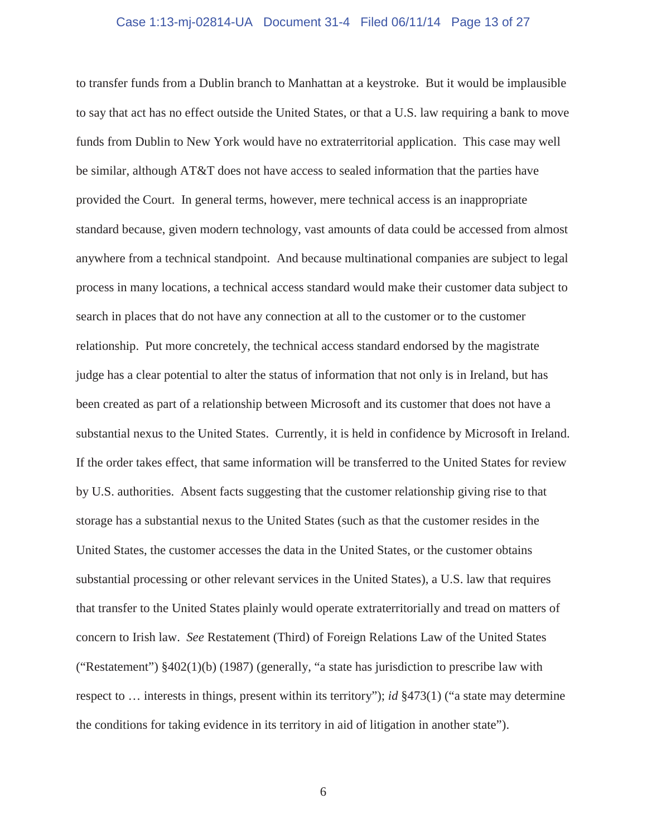#### Case 1:13-mj-02814-UA Document 31-4 Filed 06/11/14 Page 13 of 27

to transfer funds from a Dublin branch to Manhattan at a keystroke. But it would be implausible to say that act has no effect outside the United States, or that a U.S. law requiring a bank to move funds from Dublin to New York would have no extraterritorial application. This case may well be similar, although AT&T does not have access to sealed information that the parties have provided the Court. In general terms, however, mere technical access is an inappropriate standard because, given modern technology, vast amounts of data could be accessed from almost anywhere from a technical standpoint. And because multinational companies are subject to legal process in many locations, a technical access standard would make their customer data subject to search in places that do not have any connection at all to the customer or to the customer relationship. Put more concretely, the technical access standard endorsed by the magistrate judge has a clear potential to alter the status of information that not only is in Ireland, but has been created as part of a relationship between Microsoft and its customer that does not have a substantial nexus to the United States. Currently, it is held in confidence by Microsoft in Ireland. If the order takes effect, that same information will be transferred to the United States for review by U.S. authorities. Absent facts suggesting that the customer relationship giving rise to that storage has a substantial nexus to the United States (such as that the customer resides in the United States, the customer accesses the data in the United States, or the customer obtains substantial processing or other relevant services in the United States), a U.S. law that requires that transfer to the United States plainly would operate extraterritorially and tread on matters of concern to Irish law. *See* Restatement (Third) of Foreign Relations Law of the United States ("Restatement") §402(1)(b) (1987) (generally, "a state has jurisdiction to prescribe law with respect to … interests in things, present within its territory"); *id* §473(1) ("a state may determine the conditions for taking evidence in its territory in aid of litigation in another state").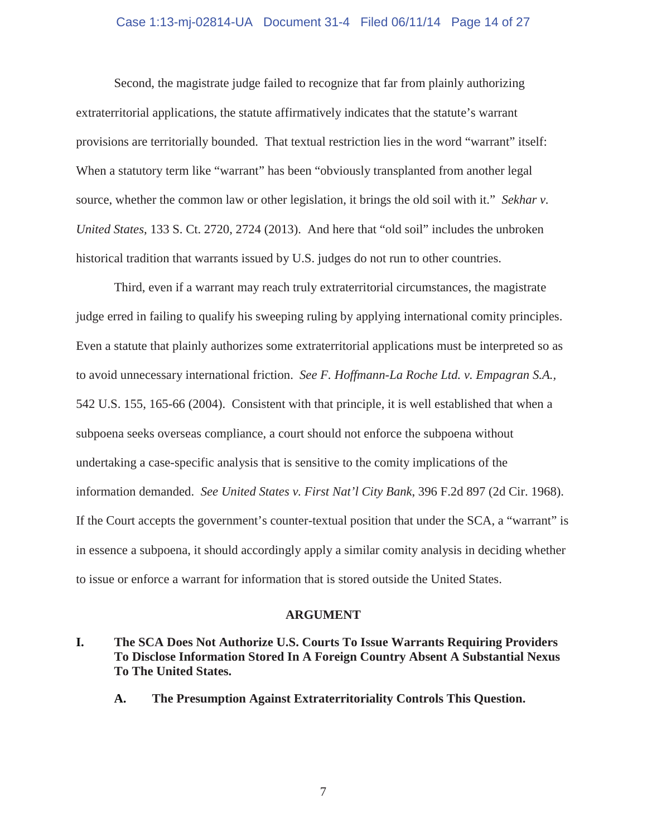#### Case 1:13-mj-02814-UA Document 31-4 Filed 06/11/14 Page 14 of 27

Second, the magistrate judge failed to recognize that far from plainly authorizing extraterritorial applications, the statute affirmatively indicates that the statute's warrant provisions are territorially bounded. That textual restriction lies in the word "warrant" itself: When a statutory term like "warrant" has been "obviously transplanted from another legal source, whether the common law or other legislation, it brings the old soil with it." *Sekhar v. United States*, 133 S. Ct. 2720, 2724 (2013). And here that "old soil" includes the unbroken historical tradition that warrants issued by U.S. judges do not run to other countries.

Third, even if a warrant may reach truly extraterritorial circumstances, the magistrate judge erred in failing to qualify his sweeping ruling by applying international comity principles. Even a statute that plainly authorizes some extraterritorial applications must be interpreted so as to avoid unnecessary international friction. *See F. Hoffmann-La Roche Ltd. v. Empagran S.A.,*  542 U.S. 155, 165-66 (2004). Consistent with that principle, it is well established that when a subpoena seeks overseas compliance, a court should not enforce the subpoena without undertaking a case-specific analysis that is sensitive to the comity implications of the information demanded. *See United States v. First Nat'l City Bank*, 396 F.2d 897 (2d Cir. 1968). If the Court accepts the government's counter-textual position that under the SCA, a "warrant" is in essence a subpoena, it should accordingly apply a similar comity analysis in deciding whether to issue or enforce a warrant for information that is stored outside the United States.

#### **ARGUMENT**

- **I. The SCA Does Not Authorize U.S. Courts To Issue Warrants Requiring Providers To Disclose Information Stored In A Foreign Country Absent A Substantial Nexus To The United States.** 
	- **A. The Presumption Against Extraterritoriality Controls This Question.**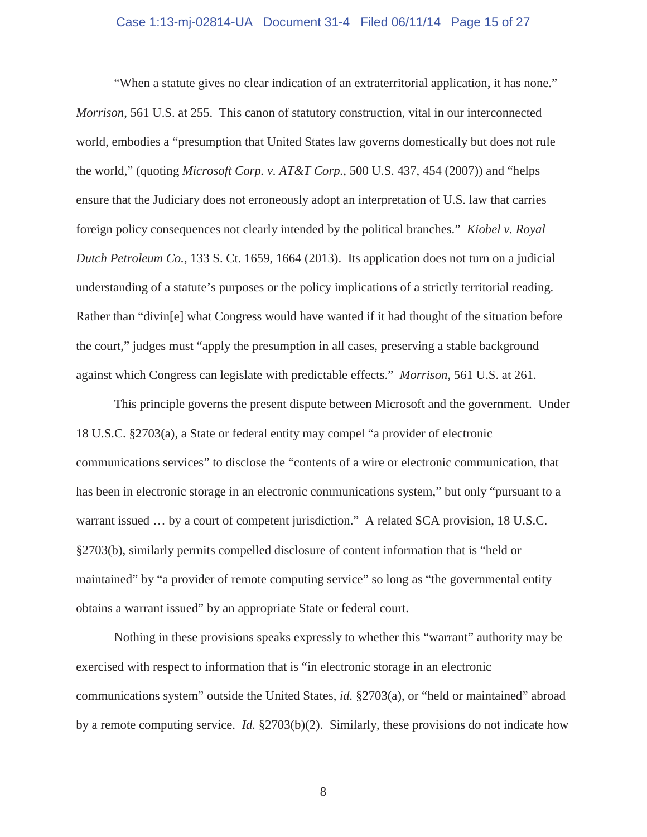#### Case 1:13-mj-02814-UA Document 31-4 Filed 06/11/14 Page 15 of 27

"When a statute gives no clear indication of an extraterritorial application, it has none." *Morrison*, 561 U.S. at 255. This canon of statutory construction, vital in our interconnected world, embodies a "presumption that United States law governs domestically but does not rule the world," (quoting *Microsoft Corp. v. AT&T Corp.*, 500 U.S. 437, 454 (2007)) and "helps ensure that the Judiciary does not erroneously adopt an interpretation of U.S. law that carries foreign policy consequences not clearly intended by the political branches." *Kiobel v. Royal Dutch Petroleum Co.*, 133 S. Ct. 1659, 1664 (2013). Its application does not turn on a judicial understanding of a statute's purposes or the policy implications of a strictly territorial reading. Rather than "divin[e] what Congress would have wanted if it had thought of the situation before the court," judges must "apply the presumption in all cases, preserving a stable background against which Congress can legislate with predictable effects." *Morrison*, 561 U.S. at 261.

This principle governs the present dispute between Microsoft and the government. Under 18 U.S.C. §2703(a), a State or federal entity may compel "a provider of electronic communications services" to disclose the "contents of a wire or electronic communication, that has been in electronic storage in an electronic communications system," but only "pursuant to a warrant issued ... by a court of competent jurisdiction." A related SCA provision, 18 U.S.C. §2703(b), similarly permits compelled disclosure of content information that is "held or maintained" by "a provider of remote computing service" so long as "the governmental entity obtains a warrant issued" by an appropriate State or federal court.

Nothing in these provisions speaks expressly to whether this "warrant" authority may be exercised with respect to information that is "in electronic storage in an electronic communications system" outside the United States, *id.* §2703(a), or "held or maintained" abroad by a remote computing service. *Id.* §2703(b)(2). Similarly, these provisions do not indicate how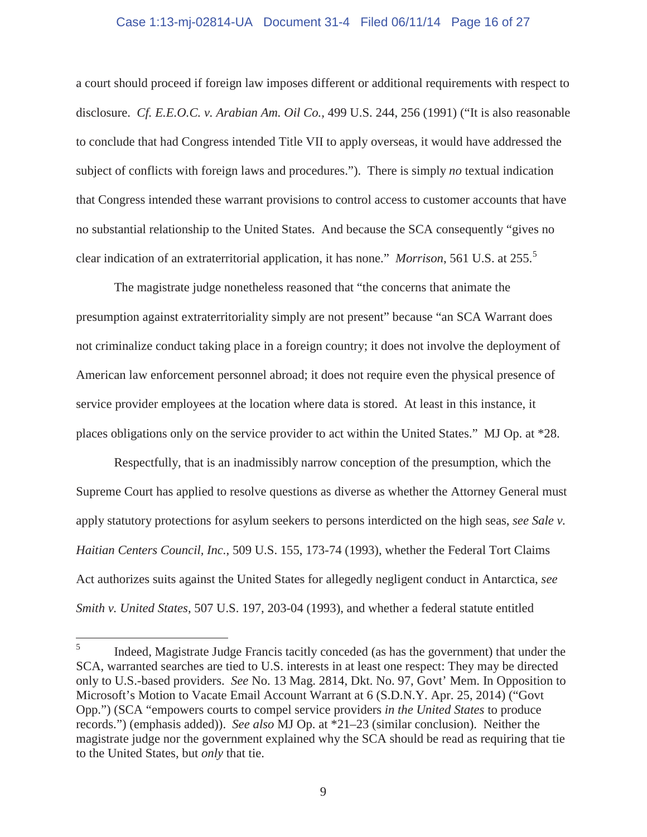#### Case 1:13-mj-02814-UA Document 31-4 Filed 06/11/14 Page 16 of 27

a court should proceed if foreign law imposes different or additional requirements with respect to disclosure. *Cf. E.E.O.C. v. Arabian Am. Oil Co.,* 499 U.S. 244, 256 (1991) ("It is also reasonable to conclude that had Congress intended Title VII to apply overseas, it would have addressed the subject of conflicts with foreign laws and procedures."). There is simply *no* textual indication that Congress intended these warrant provisions to control access to customer accounts that have no substantial relationship to the United States. And because the SCA consequently "gives no clear indication of an extraterritorial application, it has none." *Morrison*, 561 U.S. at 255.<sup>5</sup>

The magistrate judge nonetheless reasoned that "the concerns that animate the presumption against extraterritoriality simply are not present" because "an SCA Warrant does not criminalize conduct taking place in a foreign country; it does not involve the deployment of American law enforcement personnel abroad; it does not require even the physical presence of service provider employees at the location where data is stored. At least in this instance, it places obligations only on the service provider to act within the United States." MJ Op. at \*28.

Respectfully, that is an inadmissibly narrow conception of the presumption, which the Supreme Court has applied to resolve questions as diverse as whether the Attorney General must apply statutory protections for asylum seekers to persons interdicted on the high seas, *see Sale v. Haitian Centers Council, Inc.*, 509 U.S. 155, 173-74 (1993), whether the Federal Tort Claims Act authorizes suits against the United States for allegedly negligent conduct in Antarctica, *see Smith v. United States*, 507 U.S. 197, 203-04 (1993), and whether a federal statute entitled

 $\frac{1}{5}$  Indeed, Magistrate Judge Francis tacitly conceded (as has the government) that under the SCA, warranted searches are tied to U.S. interests in at least one respect: They may be directed only to U.S.-based providers. *See* No. 13 Mag. 2814, Dkt. No. 97, Govt' Mem. In Opposition to Microsoft's Motion to Vacate Email Account Warrant at 6 (S.D.N.Y. Apr. 25, 2014) ("Govt Opp.") (SCA "empowers courts to compel service providers *in the United States* to produce records.") (emphasis added)). *See also* MJ Op. at \*21–23 (similar conclusion). Neither the magistrate judge nor the government explained why the SCA should be read as requiring that tie to the United States, but *only* that tie.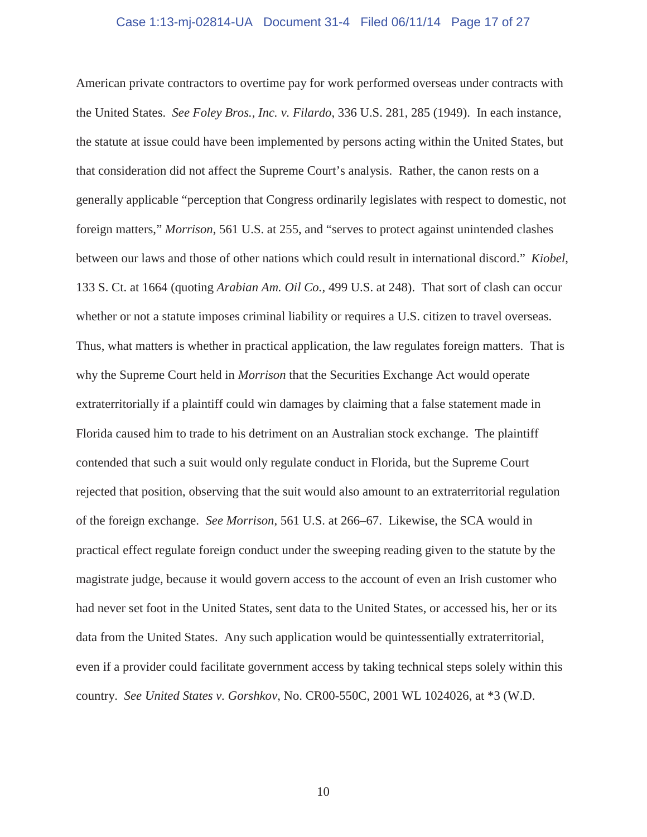#### Case 1:13-mj-02814-UA Document 31-4 Filed 06/11/14 Page 17 of 27

American private contractors to overtime pay for work performed overseas under contracts with the United States. *See Foley Bros., Inc. v. Filardo*, 336 U.S. 281, 285 (1949). In each instance, the statute at issue could have been implemented by persons acting within the United States, but that consideration did not affect the Supreme Court's analysis. Rather, the canon rests on a generally applicable "perception that Congress ordinarily legislates with respect to domestic, not foreign matters," *Morrison*, 561 U.S. at 255, and "serves to protect against unintended clashes between our laws and those of other nations which could result in international discord." *Kiobel*, 133 S. Ct. at 1664 (quoting *Arabian Am. Oil Co.,* 499 U.S. at 248). That sort of clash can occur whether or not a statute imposes criminal liability or requires a U.S. citizen to travel overseas. Thus, what matters is whether in practical application, the law regulates foreign matters. That is why the Supreme Court held in *Morrison* that the Securities Exchange Act would operate extraterritorially if a plaintiff could win damages by claiming that a false statement made in Florida caused him to trade to his detriment on an Australian stock exchange. The plaintiff contended that such a suit would only regulate conduct in Florida, but the Supreme Court rejected that position, observing that the suit would also amount to an extraterritorial regulation of the foreign exchange. *See Morrison*, 561 U.S. at 266–67. Likewise, the SCA would in practical effect regulate foreign conduct under the sweeping reading given to the statute by the magistrate judge, because it would govern access to the account of even an Irish customer who had never set foot in the United States, sent data to the United States, or accessed his, her or its data from the United States. Any such application would be quintessentially extraterritorial, even if a provider could facilitate government access by taking technical steps solely within this country. *See United States v. Gorshkov*, No. CR00-550C, 2001 WL 1024026, at \*3 (W.D.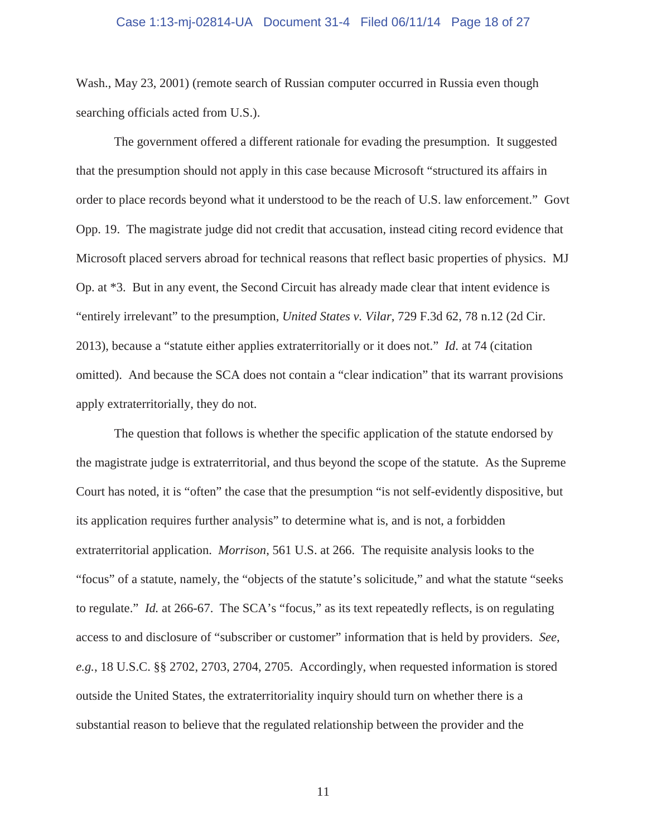#### Case 1:13-mj-02814-UA Document 31-4 Filed 06/11/14 Page 18 of 27

Wash., May 23, 2001) (remote search of Russian computer occurred in Russia even though searching officials acted from U.S.).

The government offered a different rationale for evading the presumption. It suggested that the presumption should not apply in this case because Microsoft "structured its affairs in order to place records beyond what it understood to be the reach of U.S. law enforcement." Govt Opp. 19. The magistrate judge did not credit that accusation, instead citing record evidence that Microsoft placed servers abroad for technical reasons that reflect basic properties of physics. MJ Op. at \*3. But in any event, the Second Circuit has already made clear that intent evidence is "entirely irrelevant" to the presumption, *United States v. Vilar*, 729 F.3d 62, 78 n.12 (2d Cir. 2013), because a "statute either applies extraterritorially or it does not." *Id.* at 74 (citation omitted). And because the SCA does not contain a "clear indication" that its warrant provisions apply extraterritorially, they do not.

The question that follows is whether the specific application of the statute endorsed by the magistrate judge is extraterritorial, and thus beyond the scope of the statute. As the Supreme Court has noted, it is "often" the case that the presumption "is not self-evidently dispositive, but its application requires further analysis" to determine what is, and is not, a forbidden extraterritorial application. *Morrison*, 561 U.S. at 266. The requisite analysis looks to the "focus" of a statute, namely, the "objects of the statute's solicitude," and what the statute "seeks to regulate." *Id.* at 266-67. The SCA's "focus," as its text repeatedly reflects, is on regulating access to and disclosure of "subscriber or customer" information that is held by providers. *See, e.g.*, 18 U.S.C. §§ 2702, 2703, 2704, 2705. Accordingly, when requested information is stored outside the United States, the extraterritoriality inquiry should turn on whether there is a substantial reason to believe that the regulated relationship between the provider and the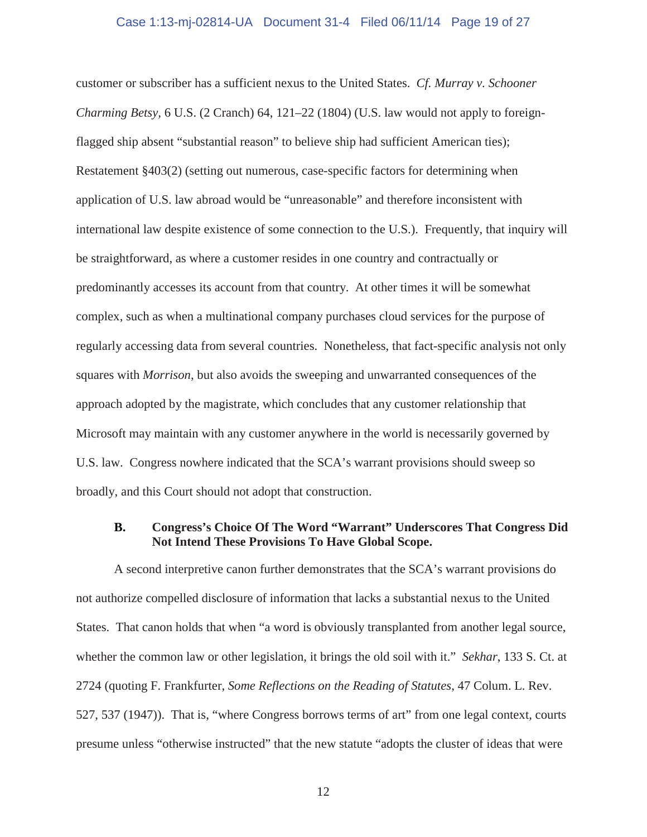#### Case 1:13-mj-02814-UA Document 31-4 Filed 06/11/14 Page 19 of 27

customer or subscriber has a sufficient nexus to the United States. *Cf. Murray v. Schooner Charming Betsy,* 6 U.S. (2 Cranch) 64, 121–22 (1804) (U.S. law would not apply to foreignflagged ship absent "substantial reason" to believe ship had sufficient American ties); Restatement §403(2) (setting out numerous, case-specific factors for determining when application of U.S. law abroad would be "unreasonable" and therefore inconsistent with international law despite existence of some connection to the U.S.). Frequently, that inquiry will be straightforward, as where a customer resides in one country and contractually or predominantly accesses its account from that country. At other times it will be somewhat complex, such as when a multinational company purchases cloud services for the purpose of regularly accessing data from several countries. Nonetheless, that fact-specific analysis not only squares with *Morrison*, but also avoids the sweeping and unwarranted consequences of the approach adopted by the magistrate, which concludes that any customer relationship that Microsoft may maintain with any customer anywhere in the world is necessarily governed by U.S. law. Congress nowhere indicated that the SCA's warrant provisions should sweep so broadly, and this Court should not adopt that construction.

#### **B. Congress's Choice Of The Word "Warrant" Underscores That Congress Did Not Intend These Provisions To Have Global Scope.**

A second interpretive canon further demonstrates that the SCA's warrant provisions do not authorize compelled disclosure of information that lacks a substantial nexus to the United States. That canon holds that when "a word is obviously transplanted from another legal source, whether the common law or other legislation, it brings the old soil with it." *Sekhar*, 133 S. Ct. at 2724 (quoting F. Frankfurter, *Some Reflections on the Reading of Statutes*, 47 Colum. L. Rev. 527, 537 (1947)). That is, "where Congress borrows terms of art" from one legal context, courts presume unless "otherwise instructed" that the new statute "adopts the cluster of ideas that were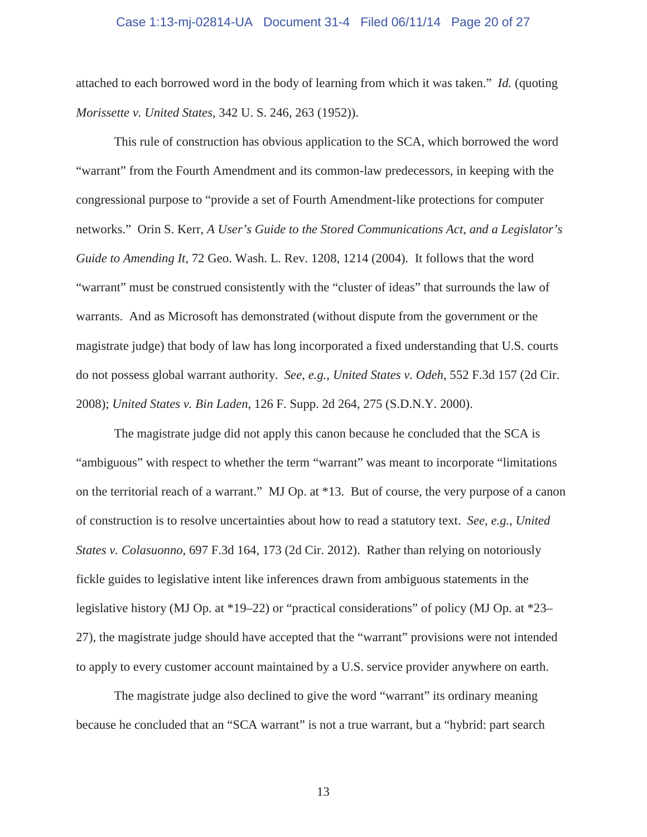#### Case 1:13-mj-02814-UA Document 31-4 Filed 06/11/14 Page 20 of 27

attached to each borrowed word in the body of learning from which it was taken." *Id.* (quoting *Morissette v. United States*, 342 U. S. 246, 263 (1952)).

This rule of construction has obvious application to the SCA, which borrowed the word "warrant" from the Fourth Amendment and its common-law predecessors, in keeping with the congressional purpose to "provide a set of Fourth Amendment-like protections for computer networks." Orin S. Kerr, *A User's Guide to the Stored Communications Act, and a Legislator's Guide to Amending It*, 72 Geo. Wash. L. Rev. 1208, 1214 (2004). It follows that the word "warrant" must be construed consistently with the "cluster of ideas" that surrounds the law of warrants. And as Microsoft has demonstrated (without dispute from the government or the magistrate judge) that body of law has long incorporated a fixed understanding that U.S. courts do not possess global warrant authority. *See, e.g.*, *United States v. Odeh*, 552 F.3d 157 (2d Cir. 2008); *United States v. Bin Laden*, 126 F. Supp. 2d 264, 275 (S.D.N.Y. 2000).

The magistrate judge did not apply this canon because he concluded that the SCA is "ambiguous" with respect to whether the term "warrant" was meant to incorporate "limitations on the territorial reach of a warrant." MJ Op. at \*13. But of course, the very purpose of a canon of construction is to resolve uncertainties about how to read a statutory text. *See, e.g.*, *United States v. Colasuonno*, 697 F.3d 164, 173 (2d Cir. 2012). Rather than relying on notoriously fickle guides to legislative intent like inferences drawn from ambiguous statements in the legislative history (MJ Op. at \*19–22) or "practical considerations" of policy (MJ Op. at \*23– 27), the magistrate judge should have accepted that the "warrant" provisions were not intended to apply to every customer account maintained by a U.S. service provider anywhere on earth.

The magistrate judge also declined to give the word "warrant" its ordinary meaning because he concluded that an "SCA warrant" is not a true warrant, but a "hybrid: part search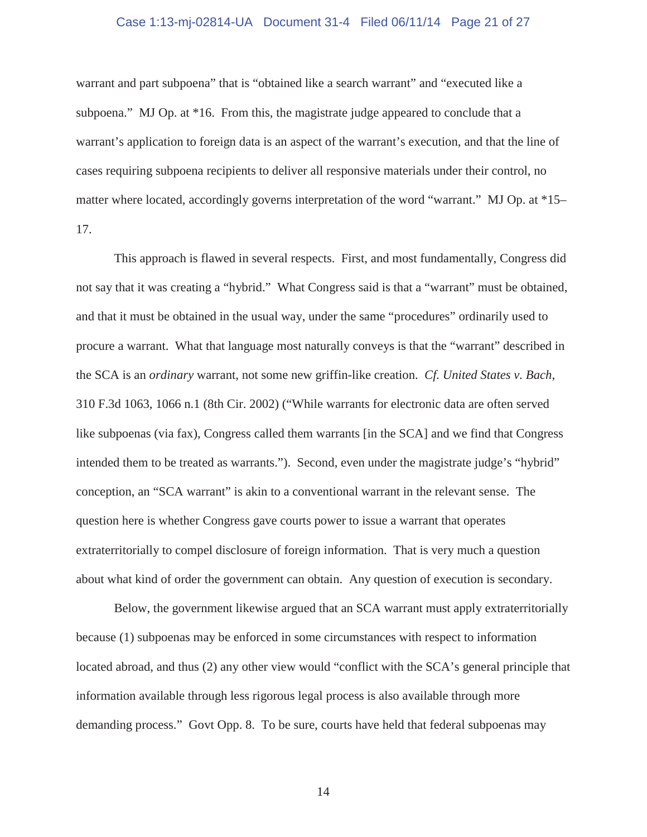#### Case 1:13-mj-02814-UA Document 31-4 Filed 06/11/14 Page 21 of 27

warrant and part subpoena" that is "obtained like a search warrant" and "executed like a subpoena." MJ Op. at \*16. From this, the magistrate judge appeared to conclude that a warrant's application to foreign data is an aspect of the warrant's execution, and that the line of cases requiring subpoena recipients to deliver all responsive materials under their control, no matter where located, accordingly governs interpretation of the word "warrant." MJ Op. at \*15– 17.

This approach is flawed in several respects. First, and most fundamentally, Congress did not say that it was creating a "hybrid." What Congress said is that a "warrant" must be obtained, and that it must be obtained in the usual way, under the same "procedures" ordinarily used to procure a warrant. What that language most naturally conveys is that the "warrant" described in the SCA is an *ordinary* warrant, not some new griffin-like creation. *Cf. United States v. Bach*, 310 F.3d 1063, 1066 n.1 (8th Cir. 2002) ("While warrants for electronic data are often served like subpoenas (via fax), Congress called them warrants [in the SCA] and we find that Congress intended them to be treated as warrants."). Second, even under the magistrate judge's "hybrid" conception, an "SCA warrant" is akin to a conventional warrant in the relevant sense. The question here is whether Congress gave courts power to issue a warrant that operates extraterritorially to compel disclosure of foreign information. That is very much a question about what kind of order the government can obtain. Any question of execution is secondary.

Below, the government likewise argued that an SCA warrant must apply extraterritorially because (1) subpoenas may be enforced in some circumstances with respect to information located abroad, and thus (2) any other view would "conflict with the SCA's general principle that information available through less rigorous legal process is also available through more demanding process." Govt Opp. 8. To be sure, courts have held that federal subpoenas may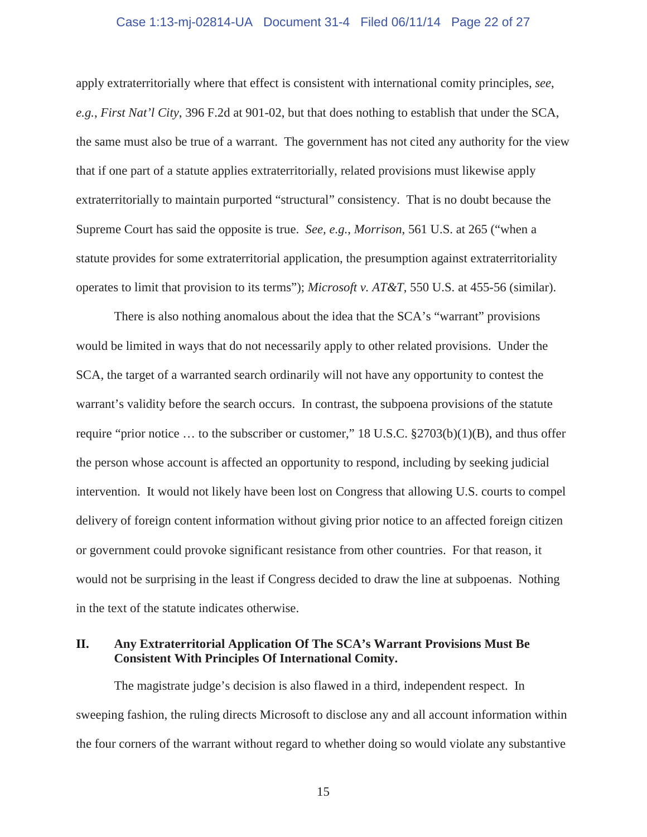#### Case 1:13-mj-02814-UA Document 31-4 Filed 06/11/14 Page 22 of 27

apply extraterritorially where that effect is consistent with international comity principles, *see*, *e.g.*, *First Nat'l City*, 396 F.2d at 901-02, but that does nothing to establish that under the SCA, the same must also be true of a warrant. The government has not cited any authority for the view that if one part of a statute applies extraterritorially, related provisions must likewise apply extraterritorially to maintain purported "structural" consistency. That is no doubt because the Supreme Court has said the opposite is true. *See, e.g.*, *Morrison*, 561 U.S. at 265 ("when a statute provides for some extraterritorial application, the presumption against extraterritoriality operates to limit that provision to its terms"); *Microsoft v. AT&T*, 550 U.S. at 455-56 (similar).

There is also nothing anomalous about the idea that the SCA's "warrant" provisions would be limited in ways that do not necessarily apply to other related provisions. Under the SCA, the target of a warranted search ordinarily will not have any opportunity to contest the warrant's validity before the search occurs. In contrast, the subpoena provisions of the statute require "prior notice … to the subscriber or customer," 18 U.S.C. §2703(b)(1)(B), and thus offer the person whose account is affected an opportunity to respond, including by seeking judicial intervention. It would not likely have been lost on Congress that allowing U.S. courts to compel delivery of foreign content information without giving prior notice to an affected foreign citizen or government could provoke significant resistance from other countries. For that reason, it would not be surprising in the least if Congress decided to draw the line at subpoenas. Nothing in the text of the statute indicates otherwise.

#### **II. Any Extraterritorial Application Of The SCA's Warrant Provisions Must Be Consistent With Principles Of International Comity.**

The magistrate judge's decision is also flawed in a third, independent respect. In sweeping fashion, the ruling directs Microsoft to disclose any and all account information within the four corners of the warrant without regard to whether doing so would violate any substantive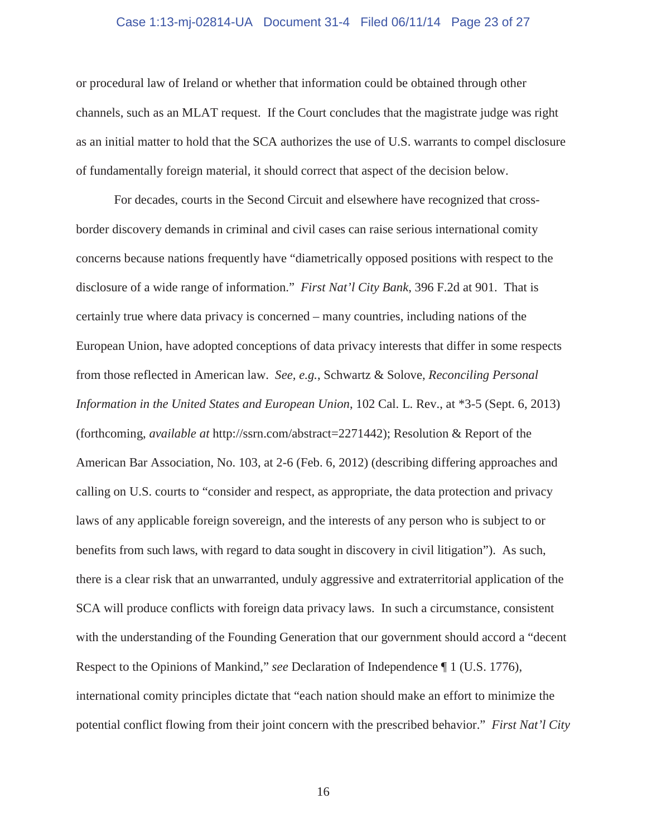#### Case 1:13-mj-02814-UA Document 31-4 Filed 06/11/14 Page 23 of 27

or procedural law of Ireland or whether that information could be obtained through other channels, such as an MLAT request. If the Court concludes that the magistrate judge was right as an initial matter to hold that the SCA authorizes the use of U.S. warrants to compel disclosure of fundamentally foreign material, it should correct that aspect of the decision below.

For decades, courts in the Second Circuit and elsewhere have recognized that crossborder discovery demands in criminal and civil cases can raise serious international comity concerns because nations frequently have "diametrically opposed positions with respect to the disclosure of a wide range of information." *First Nat'l City Bank*, 396 F.2d at 901. That is certainly true where data privacy is concerned – many countries, including nations of the European Union, have adopted conceptions of data privacy interests that differ in some respects from those reflected in American law. *See, e.g.*, Schwartz & Solove, *Reconciling Personal Information in the United States and European Union*, 102 Cal. L. Rev., at \*3-5 (Sept. 6, 2013) (forthcoming, *available at* http://ssrn.com/abstract=2271442); Resolution & Report of the American Bar Association, No. 103, at 2-6 (Feb. 6, 2012) (describing differing approaches and calling on U.S. courts to "consider and respect, as appropriate, the data protection and privacy laws of any applicable foreign sovereign, and the interests of any person who is subject to or benefits from such laws, with regard to data sought in discovery in civil litigation"). As such, there is a clear risk that an unwarranted, unduly aggressive and extraterritorial application of the SCA will produce conflicts with foreign data privacy laws. In such a circumstance, consistent with the understanding of the Founding Generation that our government should accord a "decent Respect to the Opinions of Mankind," *see* Declaration of Independence ¶ 1 (U.S. 1776), international comity principles dictate that "each nation should make an effort to minimize the potential conflict flowing from their joint concern with the prescribed behavior." *First Nat'l City*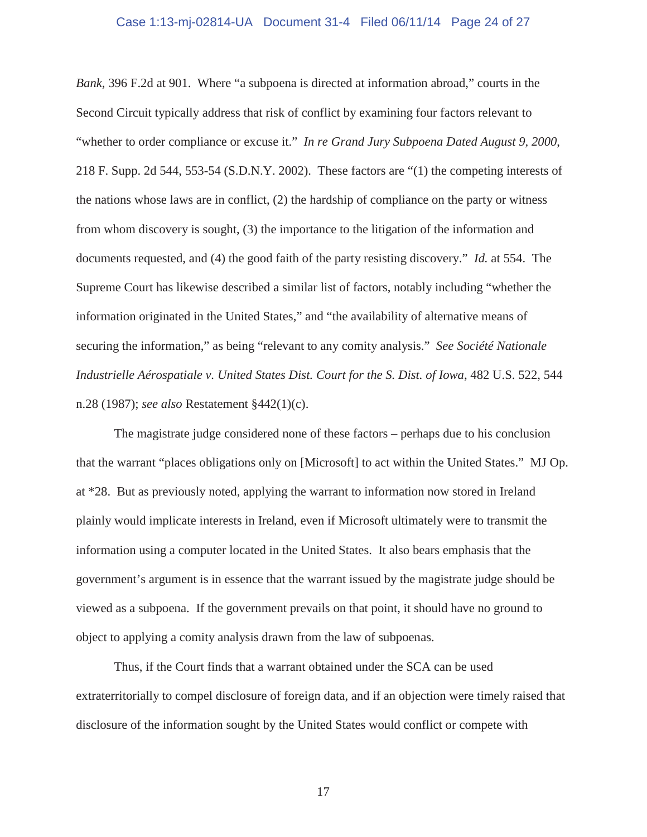#### Case 1:13-mj-02814-UA Document 31-4 Filed 06/11/14 Page 24 of 27

*Bank*, 396 F.2d at 901. Where "a subpoena is directed at information abroad," courts in the Second Circuit typically address that risk of conflict by examining four factors relevant to "whether to order compliance or excuse it." *In re Grand Jury Subpoena Dated August 9, 2000*, 218 F. Supp. 2d 544, 553-54 (S.D.N.Y. 2002). These factors are "(1) the competing interests of the nations whose laws are in conflict, (2) the hardship of compliance on the party or witness from whom discovery is sought, (3) the importance to the litigation of the information and documents requested, and (4) the good faith of the party resisting discovery." *Id.* at 554. The Supreme Court has likewise described a similar list of factors, notably including "whether the information originated in the United States," and "the availability of alternative means of securing the information," as being "relevant to any comity analysis." *See Société Nationale Industrielle Aérospatiale v. United States Dist. Court for the S. Dist. of Iowa*, 482 U.S. 522, 544 n.28 (1987); *see also* Restatement §442(1)(c).

The magistrate judge considered none of these factors – perhaps due to his conclusion that the warrant "places obligations only on [Microsoft] to act within the United States." MJ Op. at \*28. But as previously noted, applying the warrant to information now stored in Ireland plainly would implicate interests in Ireland, even if Microsoft ultimately were to transmit the information using a computer located in the United States. It also bears emphasis that the government's argument is in essence that the warrant issued by the magistrate judge should be viewed as a subpoena. If the government prevails on that point, it should have no ground to object to applying a comity analysis drawn from the law of subpoenas.

Thus, if the Court finds that a warrant obtained under the SCA can be used extraterritorially to compel disclosure of foreign data, and if an objection were timely raised that disclosure of the information sought by the United States would conflict or compete with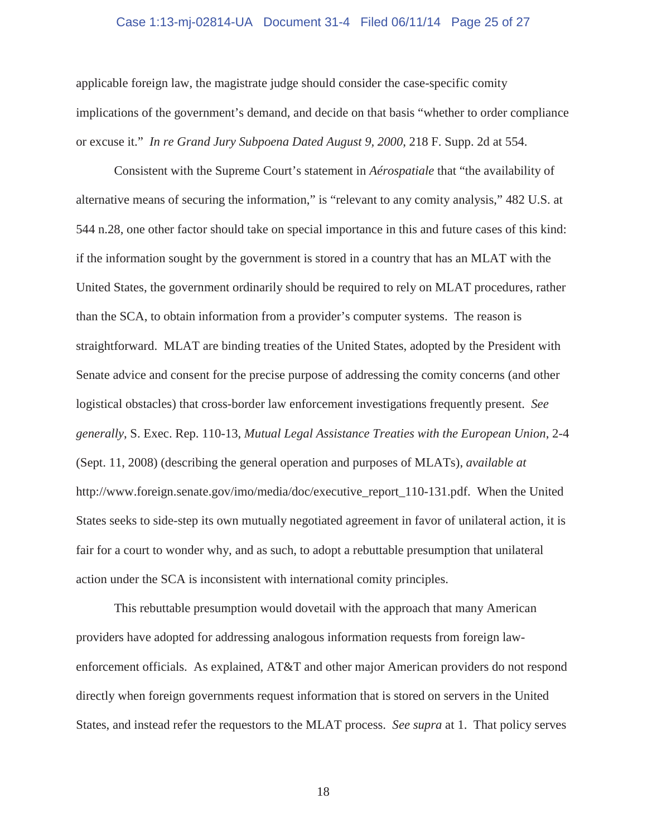#### Case 1:13-mj-02814-UA Document 31-4 Filed 06/11/14 Page 25 of 27

applicable foreign law, the magistrate judge should consider the case-specific comity implications of the government's demand, and decide on that basis "whether to order compliance or excuse it." *In re Grand Jury Subpoena Dated August 9, 2000*, 218 F. Supp. 2d at 554.

Consistent with the Supreme Court's statement in *Aérospatiale* that "the availability of alternative means of securing the information," is "relevant to any comity analysis," 482 U.S. at 544 n.28, one other factor should take on special importance in this and future cases of this kind: if the information sought by the government is stored in a country that has an MLAT with the United States, the government ordinarily should be required to rely on MLAT procedures, rather than the SCA, to obtain information from a provider's computer systems. The reason is straightforward. MLAT are binding treaties of the United States, adopted by the President with Senate advice and consent for the precise purpose of addressing the comity concerns (and other logistical obstacles) that cross-border law enforcement investigations frequently present. *See generally*, S. Exec. Rep. 110-13, *Mutual Legal Assistance Treaties with the European Union*, 2-4 (Sept. 11, 2008) (describing the general operation and purposes of MLATs), *available at*  http://www.foreign.senate.gov/imo/media/doc/executive\_report\_110-131.pdf. When the United States seeks to side-step its own mutually negotiated agreement in favor of unilateral action, it is fair for a court to wonder why, and as such, to adopt a rebuttable presumption that unilateral action under the SCA is inconsistent with international comity principles.

This rebuttable presumption would dovetail with the approach that many American providers have adopted for addressing analogous information requests from foreign lawenforcement officials. As explained, AT&T and other major American providers do not respond directly when foreign governments request information that is stored on servers in the United States, and instead refer the requestors to the MLAT process. *See supra* at 1. That policy serves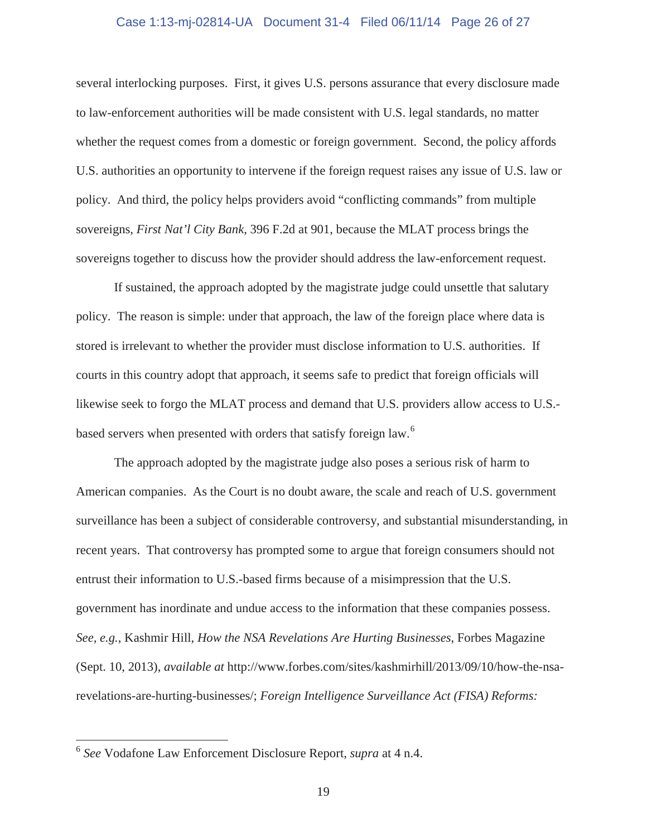#### Case 1:13-mj-02814-UA Document 31-4 Filed 06/11/14 Page 26 of 27

several interlocking purposes. First, it gives U.S. persons assurance that every disclosure made to law-enforcement authorities will be made consistent with U.S. legal standards, no matter whether the request comes from a domestic or foreign government. Second, the policy affords U.S. authorities an opportunity to intervene if the foreign request raises any issue of U.S. law or policy. And third, the policy helps providers avoid "conflicting commands" from multiple sovereigns*, First Nat'l City Bank*, 396 F.2d at 901, because the MLAT process brings the sovereigns together to discuss how the provider should address the law-enforcement request.

If sustained, the approach adopted by the magistrate judge could unsettle that salutary policy. The reason is simple: under that approach, the law of the foreign place where data is stored is irrelevant to whether the provider must disclose information to U.S. authorities. If courts in this country adopt that approach, it seems safe to predict that foreign officials will likewise seek to forgo the MLAT process and demand that U.S. providers allow access to U.S. based servers when presented with orders that satisfy foreign law.<sup>6</sup>

The approach adopted by the magistrate judge also poses a serious risk of harm to American companies. As the Court is no doubt aware, the scale and reach of U.S. government surveillance has been a subject of considerable controversy, and substantial misunderstanding, in recent years. That controversy has prompted some to argue that foreign consumers should not entrust their information to U.S.-based firms because of a misimpression that the U.S. government has inordinate and undue access to the information that these companies possess. *See, e.g.*, Kashmir Hill, *How the NSA Revelations Are Hurting Businesses*, Forbes Magazine (Sept. 10, 2013), *available at* http://www.forbes.com/sites/kashmirhill/2013/09/10/how-the-nsarevelations-are-hurting-businesses/; *Foreign Intelligence Surveillance Act (FISA) Reforms:* 

 $\overline{a}$ 

<sup>6</sup> *See* Vodafone Law Enforcement Disclosure Report, *supra* at 4 n.4.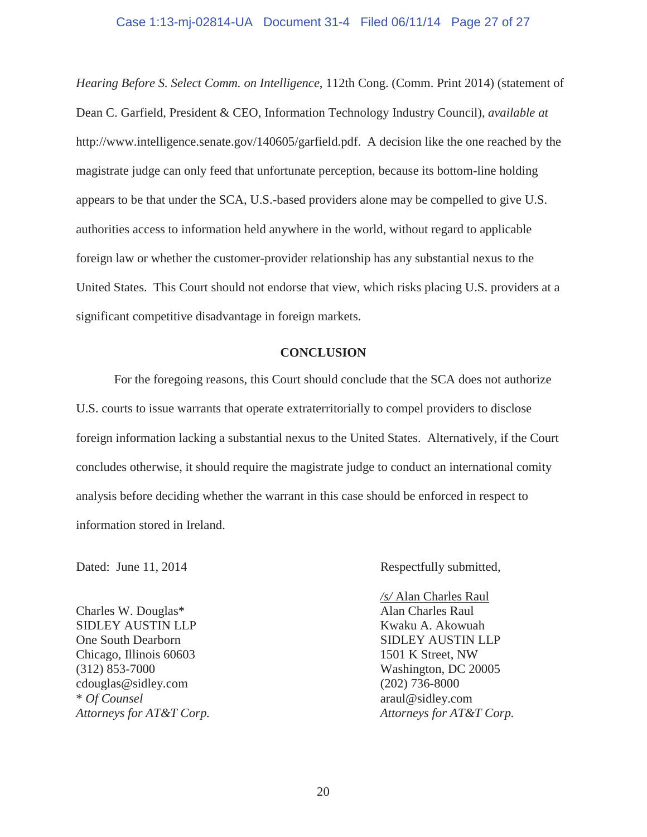### Case 1:13-mj-02814-UA Document 31-4 Filed 06/11/14 Page 27 of 27

*Hearing Before S. Select Comm. on Intelligence*, 112th Cong. (Comm. Print 2014) (statement of Dean C. Garfield, President & CEO, Information Technology Industry Council), *available at*  http://www.intelligence.senate.gov/140605/garfield.pdf. A decision like the one reached by the magistrate judge can only feed that unfortunate perception, because its bottom-line holding appears to be that under the SCA, U.S.-based providers alone may be compelled to give U.S. authorities access to information held anywhere in the world, without regard to applicable foreign law or whether the customer-provider relationship has any substantial nexus to the United States. This Court should not endorse that view, which risks placing U.S. providers at a significant competitive disadvantage in foreign markets.

#### **CONCLUSION**

For the foregoing reasons, this Court should conclude that the SCA does not authorize U.S. courts to issue warrants that operate extraterritorially to compel providers to disclose foreign information lacking a substantial nexus to the United States. Alternatively, if the Court concludes otherwise, it should require the magistrate judge to conduct an international comity analysis before deciding whether the warrant in this case should be enforced in respect to information stored in Ireland.

Charles W. Douglas\* Alan Charles Raul SIDLEY AUSTIN LLP Kwaku A. Akowuah One South Dearborn SIDLEY AUSTIN LLP Chicago, Illinois 60603 1501 K Street, NW (312) 853-7000 Washington, DC 20005 cdouglas@sidley.com (202) 736-8000 \* *Of Counsel* araul@sidley.com

Dated: June 11, 2014 Respectfully submitted,

*/s/* Alan Charles Raul *Attorneys for AT&T Corp. Attorneys for AT&T Corp.*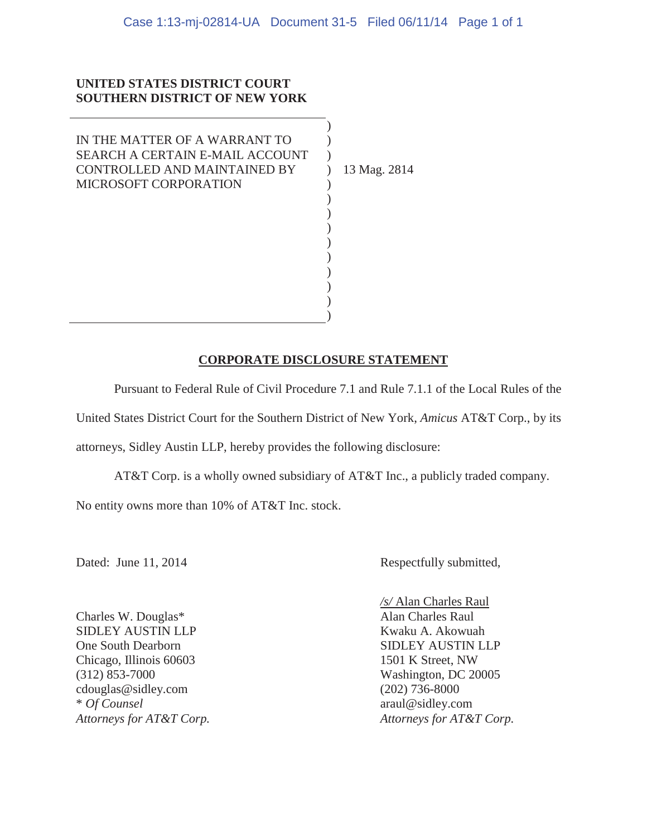) )  $\lambda$ ) ) ) ) ) ) ) ) ) ) )

## **UNITED STATES DISTRICT COURT SOUTHERN DISTRICT OF NEW YORK**

IN THE MATTER OF A WARRANT TO SEARCH A CERTAIN E-MAIL ACCOUNT CONTROLLED AND MAINTAINED BY MICROSOFT CORPORATION

13 Mag. 2814

## **CORPORATE DISCLOSURE STATEMENT**

Pursuant to Federal Rule of Civil Procedure 7.1 and Rule 7.1.1 of the Local Rules of the United States District Court for the Southern District of New York, *Amicus* AT&T Corp., by its attorneys, Sidley Austin LLP, hereby provides the following disclosure:

 AT&T Corp. is a wholly owned subsidiary of AT&T Inc., a publicly traded company. No entity owns more than 10% of AT&T Inc. stock.

Dated: June 11, 2014 Respectfully submitted,

Charles W. Douglas\* Alan Charles Raul SIDLEY AUSTIN LLP Kwaku A. Akowuah One South Dearborn SIDLEY AUSTIN LLP Chicago, Illinois 60603 1501 K Street, NW (312) 853-7000 Washington, DC 20005 cdouglas@sidley.com (202) 736-8000 \* *Of Counsel* araul@sidley.com

*/s/* Alan Charles Raul *Attorneys for AT&T Corp. Attorneys for AT&T Corp.*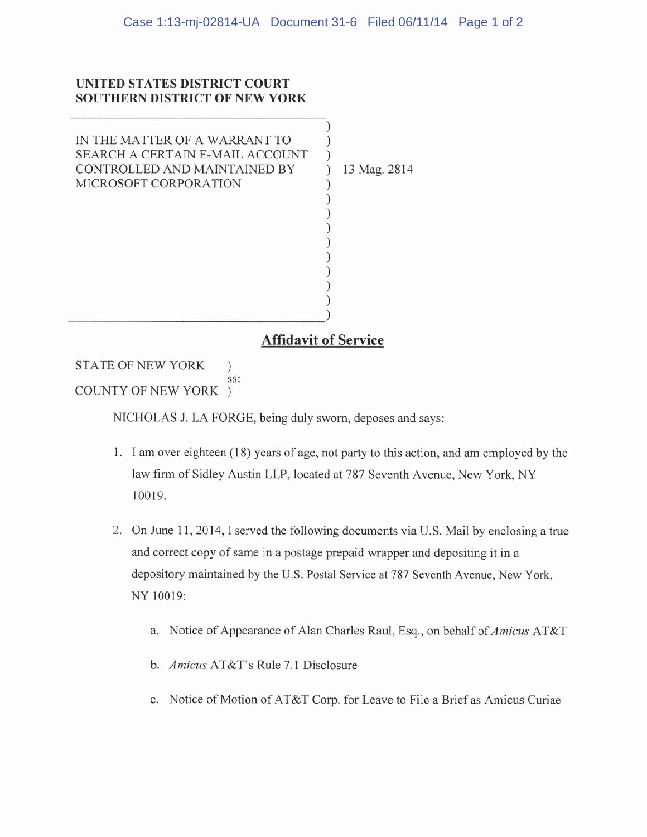## UNITED STATES DISTRICT COURT **SOUTHERN DISTRICT OF NEW YORK**

IN THE MATTER OF A WARRANT TO SEARCH A CERTAIN E-MAIL ACCOUNT CONTROLLED AND MAINTAINED BY MICROSOFT CORPORATION

13 Mag. 2814

## **Affidavit of Service**

 $\mathcal{E}$ Í

STATE OF NEW YORK  $\mathcal{C}$ SS: COUNTY OF NEW YORK )

NICHOLAS J. LA FORGE, being duly sworn, deposes and says:

- 1. I am over eighteen (18) years of age, not party to this action, and am employed by the law firm of Sidley Austin LLP, located at 787 Seventh Avenue, New York, NY 10019.
- 2. On June 11, 2014, I served the following documents via U.S. Mail by enclosing a true and correct copy of same in a postage prepaid wrapper and depositing it in a depository maintained by the U.S. Postal Service at 787 Seventh Avenue, New York, NY 10019:
	- a. Notice of Appearance of Alan Charles Raul, Esq., on behalf of Amicus AT&T
	- b. Amicus AT&T's Rule 7.1 Disclosure
	- c. Notice of Motion of AT&T Corp. for Leave to File a Brief as Amicus Curiae